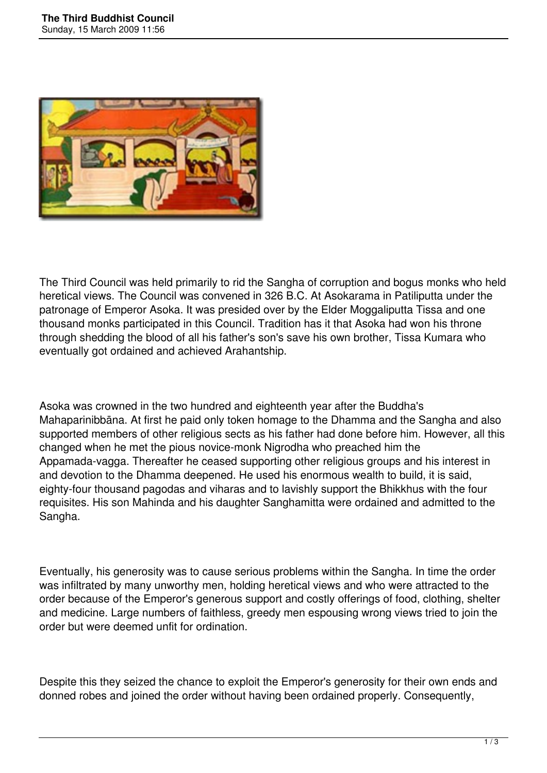

The Third Council was held primarily to rid the Sangha of corruption and bogus monks who held heretical views. The Council was convened in 326 B.C. At Asokarama in Patiliputta under the patronage of Emperor Asoka. It was presided over by the Elder Moggaliputta Tissa and one thousand monks participated in this Council. Tradition has it that Asoka had won his throne through shedding the blood of all his father's son's save his own brother, Tissa Kumara who eventually got ordained and achieved Arahantship.

Asoka was crowned in the two hundred and eighteenth year after the Buddha's Mahaparinibbāna. At first he paid only token homage to the Dhamma and the Sangha and also supported members of other religious sects as his father had done before him. However, all this changed when he met the pious novice-monk Nigrodha who preached him the Appamada-vagga. Thereafter he ceased supporting other religious groups and his interest in and devotion to the Dhamma deepened. He used his enormous wealth to build, it is said, eighty-four thousand pagodas and viharas and to lavishly support the Bhikkhus with the four requisites. His son Mahinda and his daughter Sanghamitta were ordained and admitted to the Sangha.

Eventually, his generosity was to cause serious problems within the Sangha. In time the order was infiltrated by many unworthy men, holding heretical views and who were attracted to the order because of the Emperor's generous support and costly offerings of food, clothing, shelter and medicine. Large numbers of faithless, greedy men espousing wrong views tried to join the order but were deemed unfit for ordination.

Despite this they seized the chance to exploit the Emperor's generosity for their own ends and donned robes and joined the order without having been ordained properly. Consequently,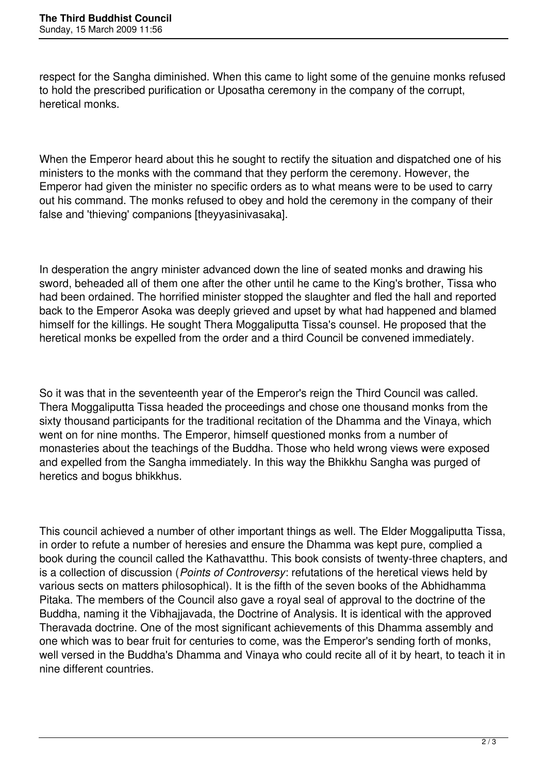respect for the Sangha diminished. When this came to light some of the genuine monks refused to hold the prescribed purification or Uposatha ceremony in the company of the corrupt, heretical monks.

When the Emperor heard about this he sought to rectify the situation and dispatched one of his ministers to the monks with the command that they perform the ceremony. However, the Emperor had given the minister no specific orders as to what means were to be used to carry out his command. The monks refused to obey and hold the ceremony in the company of their false and 'thieving' companions [theyyasinivasaka].

In desperation the angry minister advanced down the line of seated monks and drawing his sword, beheaded all of them one after the other until he came to the King's brother, Tissa who had been ordained. The horrified minister stopped the slaughter and fled the hall and reported back to the Emperor Asoka was deeply grieved and upset by what had happened and blamed himself for the killings. He sought Thera Moggaliputta Tissa's counsel. He proposed that the heretical monks be expelled from the order and a third Council be convened immediately.

So it was that in the seventeenth year of the Emperor's reign the Third Council was called. Thera Moggaliputta Tissa headed the proceedings and chose one thousand monks from the sixty thousand participants for the traditional recitation of the Dhamma and the Vinaya, which went on for nine months. The Emperor, himself questioned monks from a number of monasteries about the teachings of the Buddha. Those who held wrong views were exposed and expelled from the Sangha immediately. In this way the Bhikkhu Sangha was purged of heretics and bogus bhikkhus.

This council achieved a number of other important things as well. The Elder Moggaliputta Tissa, in order to refute a number of heresies and ensure the Dhamma was kept pure, complied a book during the council called the Kathavatthu. This book consists of twenty-three chapters, and is a collection of discussion (*Points of Controversy*: refutations of the heretical views held by various sects on matters philosophical). It is the fifth of the seven books of the Abhidhamma Pitaka. The members of the Council also gave a royal seal of approval to the doctrine of the Buddha, naming it the Vibhajjavada, the Doctrine of Analysis. It is identical with the approved Theravada doctrine. One of the most significant achievements of this Dhamma assembly and one which was to bear fruit for centuries to come, was the Emperor's sending forth of monks, well versed in the Buddha's Dhamma and Vinaya who could recite all of it by heart, to teach it in nine different countries.